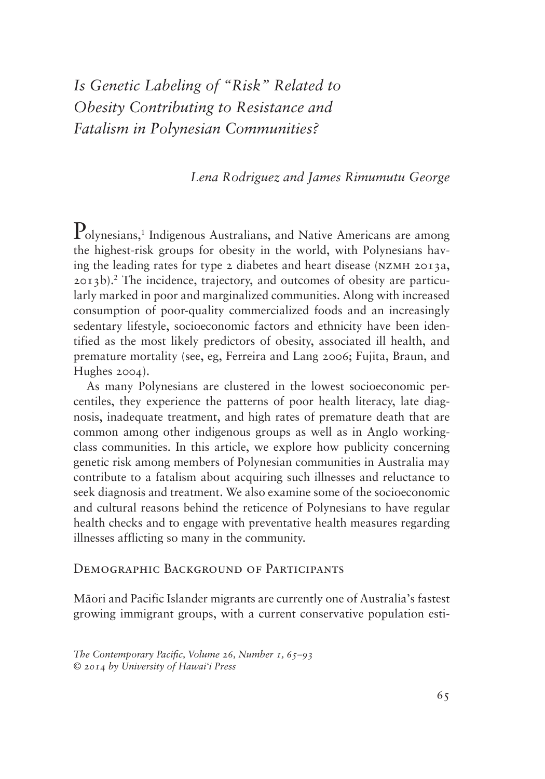# *Is Genetic Labeling of "Risk" Related to Obesity Contributing to Resistance and Fatalism in Polynesian Communities?*

# *Lena Rodriguez and James Rimumutu George*

Polynesians,<sup>1</sup> Indigenous Australians, and Native Americans are among the highest-risk groups for obesity in the world, with Polynesians having the leading rates for type 2 diabetes and heart disease (nzmh 2013a, 2013b).2 The incidence, trajectory, and outcomes of obesity are particularly marked in poor and marginalized communities. Along with increased consumption of poor-quality commercialized foods and an increasingly sedentary lifestyle, socioeconomic factors and ethnicity have been identified as the most likely predictors of obesity, associated ill health, and premature mortality (see, eg, Ferreira and Lang 2006; Fujita, Braun, and Hughes 2004).

As many Polynesians are clustered in the lowest socioeconomic percentiles, they experience the patterns of poor health literacy, late diagnosis, inadequate treatment, and high rates of premature death that are common among other indigenous groups as well as in Anglo workingclass communities. In this article, we explore how publicity concerning genetic risk among members of Polynesian communities in Australia may contribute to a fatalism about acquiring such illnesses and reluctance to seek diagnosis and treatment. We also examine some of the socioeconomic and cultural reasons behind the reticence of Polynesians to have regular health checks and to engage with preventative health measures regarding illnesses afflicting so many in the community.

# DEMOGRAPHIC BACKGROUND OF PARTICIPANTS

Māori and Pacific Islander migrants are currently one of Australia's fastest growing immigrant groups, with a current conservative population esti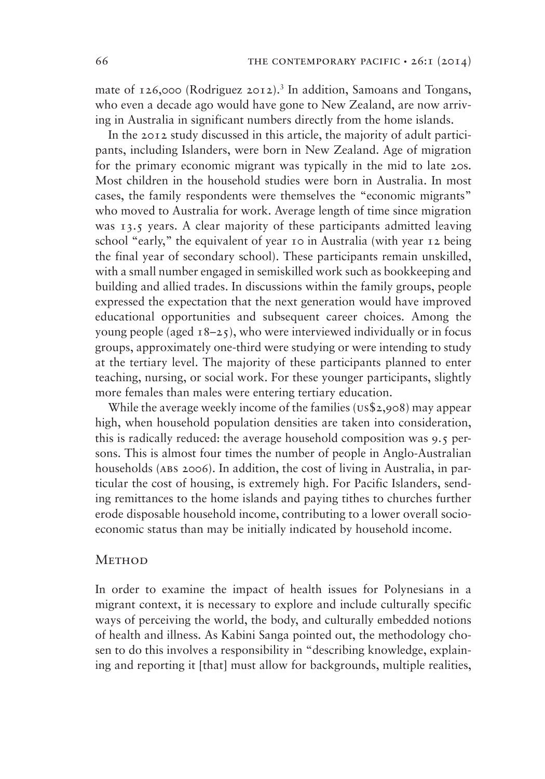mate of  $126,000$  (Rodriguez  $2012$ ).<sup>3</sup> In addition, Samoans and Tongans, who even a decade ago would have gone to New Zealand, are now arriving in Australia in significant numbers directly from the home islands.

In the 2012 study discussed in this article, the majority of adult participants, including Islanders, were born in New Zealand. Age of migration for the primary economic migrant was typically in the mid to late 20s. Most children in the household studies were born in Australia. In most cases, the family respondents were themselves the "economic migrants" who moved to Australia for work. Average length of time since migration was 13.5 years. A clear majority of these participants admitted leaving school "early," the equivalent of year 10 in Australia (with year 12 being the final year of secondary school). These participants remain unskilled, with a small number engaged in semiskilled work such as bookkeeping and building and allied trades. In discussions within the family groups, people expressed the expectation that the next generation would have improved educational opportunities and subsequent career choices. Among the young people (aged  $18-25$ ), who were interviewed individually or in focus groups, approximately one-third were studying or were intending to study at the tertiary level. The majority of these participants planned to enter teaching, nursing, or social work. For these younger participants, slightly more females than males were entering tertiary education.

While the average weekly income of the families (US\$2,908) may appear high, when household population densities are taken into consideration, this is radically reduced: the average household composition was 9.5 persons. This is almost four times the number of people in Anglo-Australian households (ABS 2006). In addition, the cost of living in Australia, in particular the cost of housing, is extremely high. For Pacific Islanders, sending remittances to the home islands and paying tithes to churches further erode disposable household income, contributing to a lower overall socioeconomic status than may be initially indicated by household income.

# **METHOD**

In order to examine the impact of health issues for Polynesians in a migrant context, it is necessary to explore and include culturally specific ways of perceiving the world, the body, and culturally embedded notions of health and illness. As Kabini Sanga pointed out, the methodology chosen to do this involves a responsibility in "describing knowledge, explaining and reporting it [that] must allow for backgrounds, multiple realities,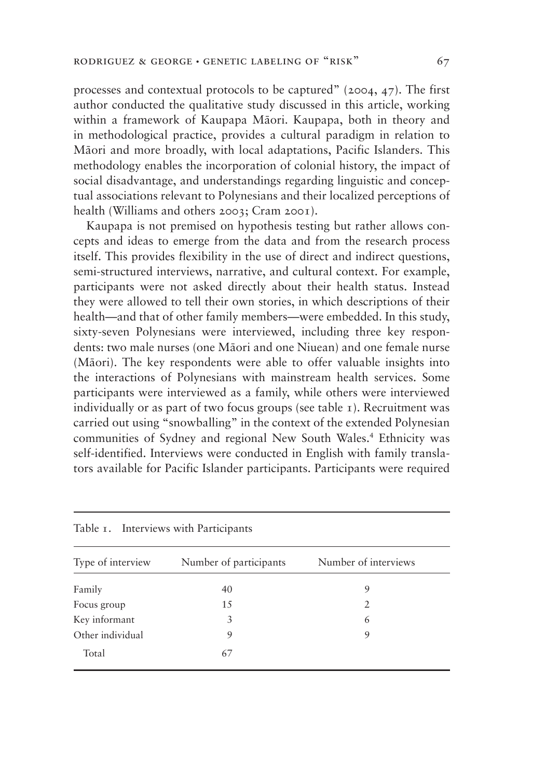processes and contextual protocols to be captured" (2004, 47). The first author conducted the qualitative study discussed in this article, working within a framework of Kaupapa Māori. Kaupapa, both in theory and in methodological practice, provides a cultural paradigm in relation to Māori and more broadly, with local adaptations, Pacific Islanders. This methodology enables the incorporation of colonial history, the impact of social disadvantage, and understandings regarding linguistic and conceptual associations relevant to Polynesians and their localized perceptions of health (Williams and others 2003; Cram 2001).

Kaupapa is not premised on hypothesis testing but rather allows concepts and ideas to emerge from the data and from the research process itself. This provides flexibility in the use of direct and indirect questions, semi-structured interviews, narrative, and cultural context. For example, participants were not asked directly about their health status. Instead they were allowed to tell their own stories, in which descriptions of their health—and that of other family members—were embedded. In this study, sixty-seven Polynesians were interviewed, including three key respondents: two male nurses (one Māori and one Niuean) and one female nurse (Māori). The key respondents were able to offer valuable insights into the interactions of Polynesians with mainstream health services. Some participants were interviewed as a family, while others were interviewed individually or as part of two focus groups (see table 1). Recruitment was carried out using "snowballing" in the context of the extended Polynesian communities of Sydney and regional New South Wales.4 Ethnicity was self-identified. Interviews were conducted in English with family translators available for Pacific Islander participants. Participants were required

| Type of interview | Number of participants | Number of interviews |
|-------------------|------------------------|----------------------|
| Family            | 40                     | 9                    |
| Focus group       | 15                     | 2                    |
| Key informant     | 3                      | 6                    |
| Other individual  | 9                      | 9                    |
| Total             | 67                     |                      |

Table 1. Interviews with Participants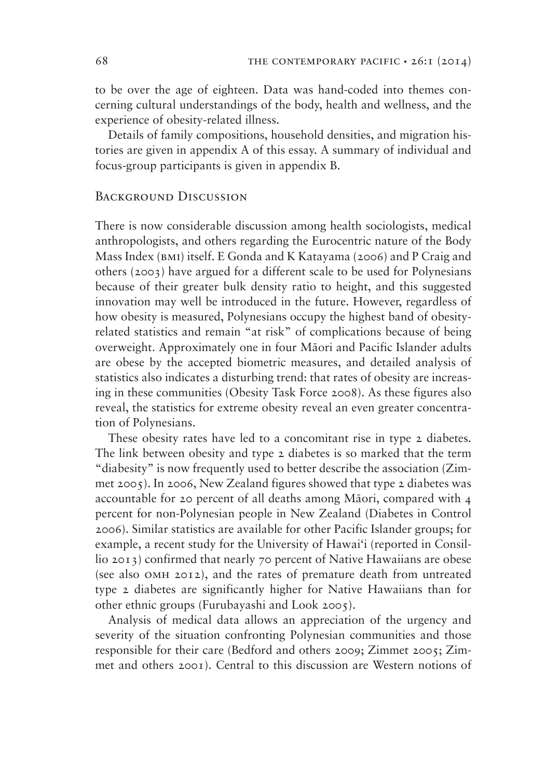to be over the age of eighteen. Data was hand-coded into themes concerning cultural understandings of the body, health and wellness, and the experience of obesity-related illness.

Details of family compositions, household densities, and migration histories are given in appendix A of this essay. A summary of individual and focus-group participants is given in appendix B.

### BACKGROUND DISCUSSION

There is now considerable discussion among health sociologists, medical anthropologists, and others regarding the Eurocentric nature of the Body Mass Index (bmi) itself. E Gonda and K Katayama (2006) and P Craig and others (2003) have argued for a different scale to be used for Polynesians because of their greater bulk density ratio to height, and this suggested innovation may well be introduced in the future. However, regardless of how obesity is measured, Polynesians occupy the highest band of obesityrelated statistics and remain "at risk" of complications because of being overweight. Approximately one in four Māori and Pacific Islander adults are obese by the accepted biometric measures, and detailed analysis of statistics also indicates a disturbing trend: that rates of obesity are increasing in these communities (Obesity Task Force 2008). As these figures also reveal, the statistics for extreme obesity reveal an even greater concentration of Polynesians.

These obesity rates have led to a concomitant rise in type 2 diabetes. The link between obesity and type 2 diabetes is so marked that the term "diabesity" is now frequently used to better describe the association (Zimmet 2005). In 2006, New Zealand figures showed that type 2 diabetes was accountable for 20 percent of all deaths among Māori, compared with 4 percent for non-Polynesian people in New Zealand (Diabetes in Control 2006). Similar statistics are available for other Pacific Islander groups; for example, a recent study for the University of Hawai'i (reported in Consillio 2013) confirmed that nearly 70 percent of Native Hawaiians are obese (see also omh 2012), and the rates of premature death from untreated type 2 diabetes are significantly higher for Native Hawaiians than for other ethnic groups (Furubayashi and Look 2005).

Analysis of medical data allows an appreciation of the urgency and severity of the situation confronting Polynesian communities and those responsible for their care (Bedford and others 2009; Zimmet 2005; Zimmet and others 2001). Central to this discussion are Western notions of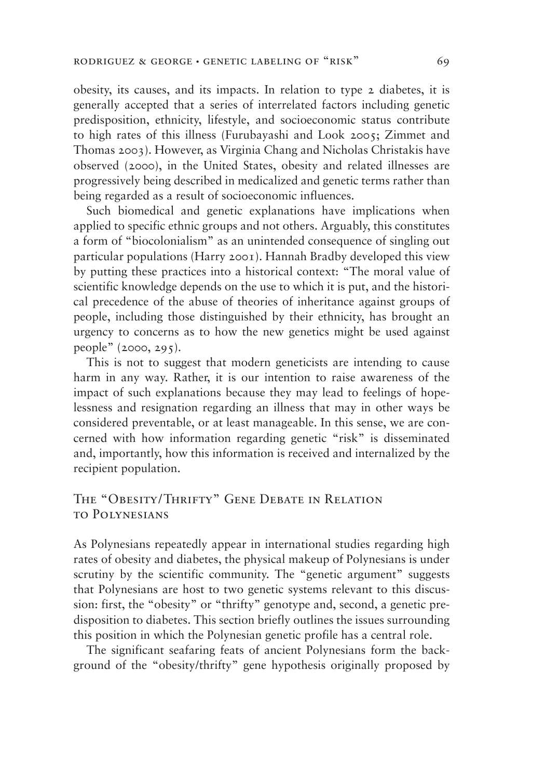obesity, its causes, and its impacts. In relation to type 2 diabetes, it is generally accepted that a series of interrelated factors including genetic predisposition, ethnicity, lifestyle, and socioeconomic status contribute to high rates of this illness (Furubayashi and Look 2005; Zimmet and Thomas 2003). However, as Virginia Chang and Nicholas Christakis have observed (2000), in the United States, obesity and related illnesses are progressively being described in medicalized and genetic terms rather than being regarded as a result of socioeconomic influences.

Such biomedical and genetic explanations have implications when applied to specific ethnic groups and not others. Arguably, this constitutes a form of "biocolonialism" as an unintended consequence of singling out particular populations (Harry 2001). Hannah Bradby developed this view by putting these practices into a historical context: "The moral value of scientific knowledge depends on the use to which it is put, and the historical precedence of the abuse of theories of inheritance against groups of people, including those distinguished by their ethnicity, has brought an urgency to concerns as to how the new genetics might be used against people" (2000, 295).

This is not to suggest that modern geneticists are intending to cause harm in any way. Rather, it is our intention to raise awareness of the impact of such explanations because they may lead to feelings of hopelessness and resignation regarding an illness that may in other ways be considered preventable, or at least manageable. In this sense, we are concerned with how information regarding genetic "risk" is disseminated and, importantly, how this information is received and internalized by the recipient population.

# THE "OBESITY/THRIFTY" GENE DEBATE IN RELATION to Polynesians

As Polynesians repeatedly appear in international studies regarding high rates of obesity and diabetes, the physical makeup of Polynesians is under scrutiny by the scientific community. The "genetic argument" suggests that Polynesians are host to two genetic systems relevant to this discussion: first, the "obesity" or "thrifty" genotype and, second, a genetic predisposition to diabetes. This section briefly outlines the issues surrounding this position in which the Polynesian genetic profile has a central role.

The significant seafaring feats of ancient Polynesians form the background of the "obesity/thrifty" gene hypothesis originally proposed by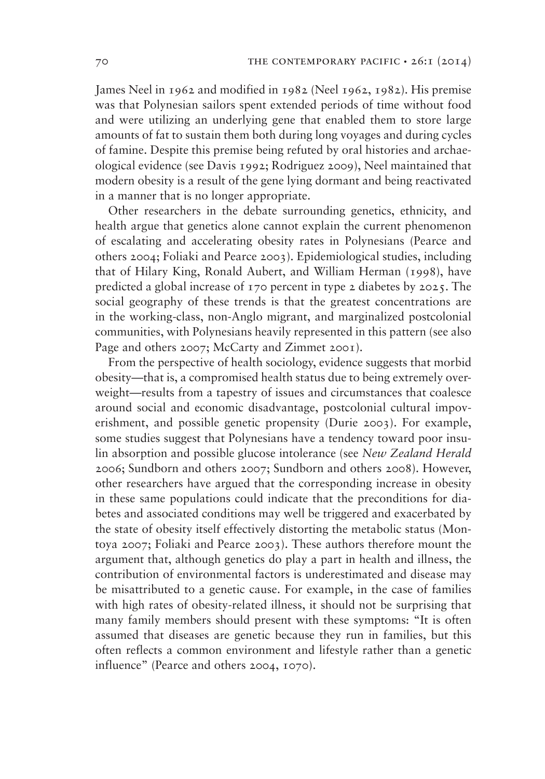James Neel in 1962 and modified in 1982 (Neel 1962, 1982). His premise was that Polynesian sailors spent extended periods of time without food and were utilizing an underlying gene that enabled them to store large amounts of fat to sustain them both during long voyages and during cycles of famine. Despite this premise being refuted by oral histories and archaeological evidence (see Davis 1992; Rodriguez 2009), Neel maintained that modern obesity is a result of the gene lying dormant and being reactivated in a manner that is no longer appropriate.

Other researchers in the debate surrounding genetics, ethnicity, and health argue that genetics alone cannot explain the current phenomenon of escalating and accelerating obesity rates in Polynesians (Pearce and others 2004; Foliaki and Pearce 2003). Epidemiological studies, including that of Hilary King, Ronald Aubert, and William Herman (1998), have predicted a global increase of 170 percent in type 2 diabetes by 2025. The social geography of these trends is that the greatest concentrations are in the working-class, non-Anglo migrant, and marginalized postcolonial communities, with Polynesians heavily represented in this pattern (see also Page and others 2007; McCarty and Zimmet 2001).

From the perspective of health sociology, evidence suggests that morbid obesity—that is, a compromised health status due to being extremely overweight—results from a tapestry of issues and circumstances that coalesce around social and economic disadvantage, postcolonial cultural impoverishment, and possible genetic propensity (Durie 2003). For example, some studies suggest that Polynesians have a tendency toward poor insulin absorption and possible glucose intolerance (see *New Zealand Herald* 2006; Sundborn and others 2007; Sundborn and others 2008). However, other researchers have argued that the corresponding increase in obesity in these same populations could indicate that the preconditions for diabetes and associated conditions may well be triggered and exacerbated by the state of obesity itself effectively distorting the metabolic status (Montoya 2007; Foliaki and Pearce 2003). These authors therefore mount the argument that, although genetics do play a part in health and illness, the contribution of environmental factors is underestimated and disease may be misattributed to a genetic cause. For example, in the case of families with high rates of obesity-related illness, it should not be surprising that many family members should present with these symptoms: "It is often assumed that diseases are genetic because they run in families, but this often reflects a common environment and lifestyle rather than a genetic influence" (Pearce and others 2004, 1070).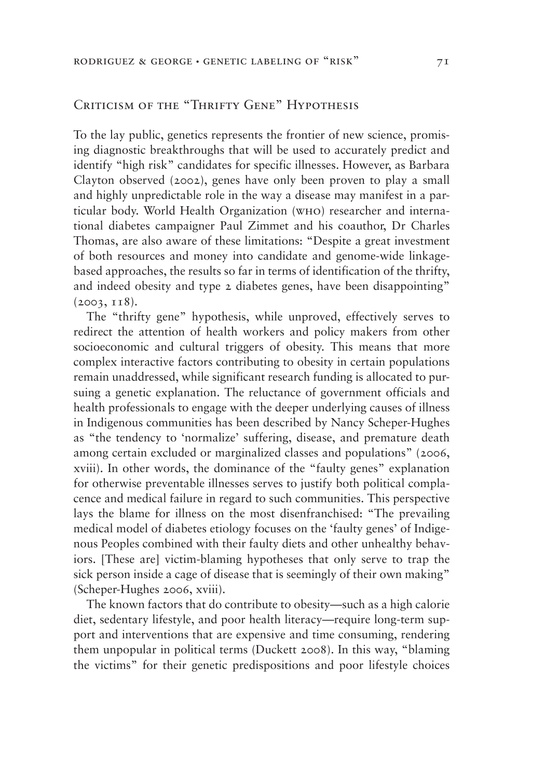# Criticism of the "Thrifty Gene" Hypothesis

To the lay public, genetics represents the frontier of new science, promising diagnostic breakthroughs that will be used to accurately predict and identify "high risk" candidates for specific illnesses. However, as Barbara Clayton observed (2002), genes have only been proven to play a small and highly unpredictable role in the way a disease may manifest in a particular body. World Health Organization (who) researcher and international diabetes campaigner Paul Zimmet and his coauthor, Dr Charles Thomas, are also aware of these limitations: "Despite a great investment of both resources and money into candidate and genome-wide linkagebased approaches, the results so far in terms of identification of the thrifty, and indeed obesity and type 2 diabetes genes, have been disappointing" (2003, 118).

The "thrifty gene" hypothesis, while unproved, effectively serves to redirect the attention of health workers and policy makers from other socioeconomic and cultural triggers of obesity. This means that more complex interactive factors contributing to obesity in certain populations remain unaddressed, while significant research funding is allocated to pursuing a genetic explanation. The reluctance of government officials and health professionals to engage with the deeper underlying causes of illness in Indigenous communities has been described by Nancy Scheper-Hughes as "the tendency to 'normalize' suffering, disease, and premature death among certain excluded or marginalized classes and populations" (2006, xviii). In other words, the dominance of the "faulty genes" explanation for otherwise preventable illnesses serves to justify both political complacence and medical failure in regard to such communities. This perspective lays the blame for illness on the most disenfranchised: "The prevailing medical model of diabetes etiology focuses on the 'faulty genes' of Indigenous Peoples combined with their faulty diets and other unhealthy behaviors. [These are] victim-blaming hypotheses that only serve to trap the sick person inside a cage of disease that is seemingly of their own making" (Scheper-Hughes 2006, xviii).

The known factors that do contribute to obesity—such as a high calorie diet, sedentary lifestyle, and poor health literacy—require long-term support and interventions that are expensive and time consuming, rendering them unpopular in political terms (Duckett 2008). In this way, "blaming the victims" for their genetic predispositions and poor lifestyle choices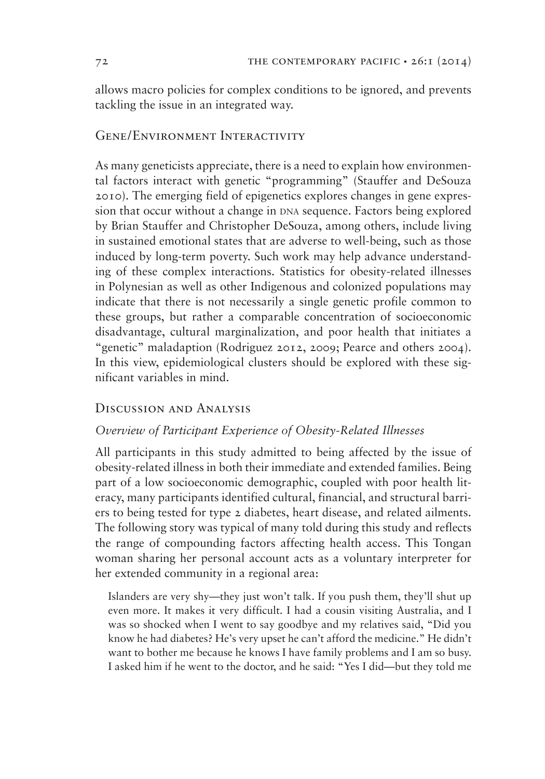allows macro policies for complex conditions to be ignored, and prevents tackling the issue in an integrated way.

# Gene/Environment Interactivity

As many geneticists appreciate, there is a need to explain how environmental factors interact with genetic "programming" (Stauffer and DeSouza 2010). The emerging field of epigenetics explores changes in gene expression that occur without a change in DNA sequence. Factors being explored by Brian Stauffer and Christopher DeSouza, among others, include living in sustained emotional states that are adverse to well-being, such as those induced by long-term poverty. Such work may help advance understanding of these complex interactions. Statistics for obesity-related illnesses in Polynesian as well as other Indigenous and colonized populations may indicate that there is not necessarily a single genetic profile common to these groups, but rather a comparable concentration of socioeconomic disadvantage, cultural marginalization, and poor health that initiates a "genetic" maladaption (Rodriguez 2012, 2009; Pearce and others 2004). In this view, epidemiological clusters should be explored with these significant variables in mind.

# Discussion and Analysis

### *<u>Overview</u> of Participant Experience of Obesity-Related Illnesses*

All participants in this study admitted to being affected by the issue of obesity-related illness in both their immediate and extended families. Being part of a low socioeconomic demographic, coupled with poor health literacy, many participants identified cultural, financial, and structural barriers to being tested for type 2 diabetes, heart disease, and related ailments. The following story was typical of many told during this study and reflects the range of compounding factors affecting health access. This Tongan woman sharing her personal account acts as a voluntary interpreter for her extended community in a regional area:

Islanders are very shy—they just won't talk. If you push them, they'll shut up even more. It makes it very difficult. I had a cousin visiting Australia, and I was so shocked when I went to say goodbye and my relatives said, "Did you know he had diabetes? He's very upset he can't afford the medicine." He didn't want to bother me because he knows I have family problems and I am so busy. I asked him if he went to the doctor, and he said: "Yes I did—but they told me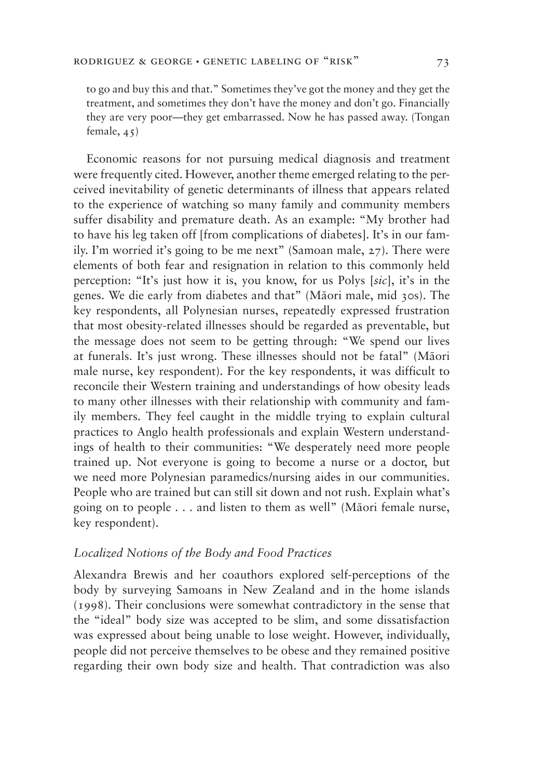to go and buy this and that." Sometimes they've got the money and they get the treatment, and sometimes they don't have the money and don't go. Financially they are very poor—they get embarrassed. Now he has passed away. (Tongan female, 45)

Economic reasons for not pursuing medical diagnosis and treatment were frequently cited. However, another theme emerged relating to the perceived inevitability of genetic determinants of illness that appears related to the experience of watching so many family and community members suffer disability and premature death. As an example: "My brother had to have his leg taken off [from complications of diabetes]. It's in our family. I'm worried it's going to be me next" (Samoan male, 27). There were elements of both fear and resignation in relation to this commonly held perception: "It's just how it is, you know, for us Polys [*sic*], it's in the genes. We die early from diabetes and that" (Māori male, mid 30s). The key respondents, all Polynesian nurses, repeatedly expressed frustration that most obesity-related illnesses should be regarded as preventable, but the message does not seem to be getting through: "We spend our lives at funerals. It's just wrong. These illnesses should not be fatal" (Māori male nurse, key respondent). For the key respondents, it was difficult to reconcile their Western training and understandings of how obesity leads to many other illnesses with their relationship with community and family members. They feel caught in the middle trying to explain cultural practices to Anglo health professionals and explain Western understandings of health to their communities: "We desperately need more people trained up. Not everyone is going to become a nurse or a doctor, but we need more Polynesian paramedics/nursing aides in our communities. People who are trained but can still sit down and not rush. Explain what's going on to people . . . and listen to them as well" (Māori female nurse, key respondent).

### *Localized Notions of the Body and Food Practices*

Alexandra Brewis and her coauthors explored self-perceptions of the body by surveying Samoans in New Zealand and in the home islands (1998). Their conclusions were somewhat contradictory in the sense that the "ideal" body size was accepted to be slim, and some dissatisfaction was expressed about being unable to lose weight. However, individually, people did not perceive themselves to be obese and they remained positive regarding their own body size and health. That contradiction was also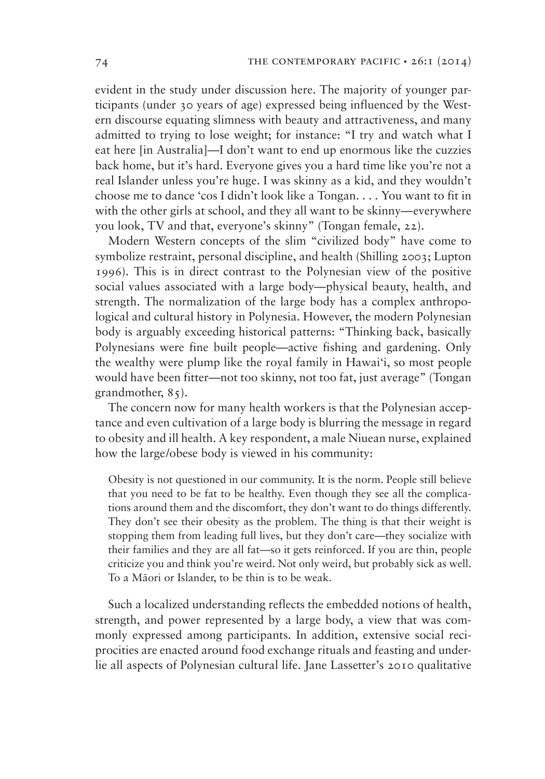evident in the study under discussion here. The majority of younger participants (under 30 years of age) expressed being influenced by the Western discourse equating slimness with beauty and attractiveness, and many admitted to trying to lose weight; for instance: "I try and watch what I eat here [in Australia]—I don't want to end up enormous like the cuzzies back home, but it's hard. Everyone gives you a hard time like you're not a real Islander unless you're huge. I was skinny as a kid, and they wouldn't choose me to dance 'cos I didn't look like a Tongan. . . . You want to fit in with the other girls at school, and they all want to be skinny—everywhere you look, TV and that, everyone's skinny" (Tongan female, 22).

Modern Western concepts of the slim "civilized body" have come to symbolize restraint, personal discipline, and health (Shilling 2003; Lupton 1996). This is in direct contrast to the Polynesian view of the positive social values associated with a large body—physical beauty, health, and strength. The normalization of the large body has a complex anthropological and cultural history in Polynesia. However, the modern Polynesian body is arguably exceeding historical patterns: "Thinking back, basically Polynesians were fine built people—active fishing and gardening. Only the wealthy were plump like the royal family in Hawai'i, so most people would have been fitter—not too skinny, not too fat, just average" (Tongan grandmother, 85).

The concern now for many health workers is that the Polynesian acceptance and even cultivation of a large body is blurring the message in regard to obesity and ill health. A key respondent, a male Niuean nurse, explained how the large/obese body is viewed in his community:

Obesity is not questioned in our community. It is the norm. People still believe that you need to be fat to be healthy. Even though they see all the complications around them and the discomfort, they don't want to do things differently. They don't see their obesity as the problem. The thing is that their weight is stopping them from leading full lives, but they don't care—they socialize with their families and they are all fat—so it gets reinforced. If you are thin, people criticize you and think you're weird. Not only weird, but probably sick as well. To a Māori or Islander, to be thin is to be weak.

Such a localized understanding reflects the embedded notions of health, strength, and power represented by a large body, a view that was commonly expressed among participants. In addition, extensive social reciprocities are enacted around food exchange rituals and feasting and underlie all aspects of Polynesian cultural life. Jane Lassetter's 2010 qualitative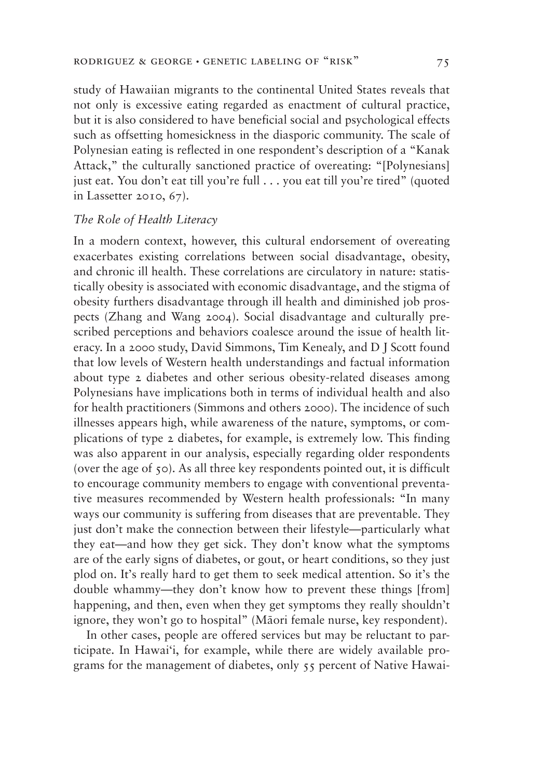study of Hawaiian migrants to the continental United States reveals that not only is excessive eating regarded as enactment of cultural practice, but it is also considered to have beneficial social and psychological effects such as offsetting homesickness in the diasporic community. The scale of Polynesian eating is reflected in one respondent's description of a "Kanak Attack," the culturally sanctioned practice of overeating: "[Polynesians] just eat. You don't eat till you're full . . . you eat till you're tired" (quoted in Lassetter 2010, 67).

### *The Role of Health Literacy*

In a modern context, however, this cultural endorsement of overeating exacerbates existing correlations between social disadvantage, obesity, and chronic ill health. These correlations are circulatory in nature: statistically obesity is associated with economic disadvantage, and the stigma of obesity furthers disadvantage through ill health and diminished job prospects (Zhang and Wang 2004). Social disadvantage and culturally prescribed perceptions and behaviors coalesce around the issue of health literacy. In a 2000 study, David Simmons, Tim Kenealy, and D J Scott found that low levels of Western health understandings and factual information about type 2 diabetes and other serious obesity-related diseases among Polynesians have implications both in terms of individual health and also for health practitioners (Simmons and others 2000). The incidence of such illnesses appears high, while awareness of the nature, symptoms, or complications of type 2 diabetes, for example, is extremely low. This finding was also apparent in our analysis, especially regarding older respondents (over the age of 50). As all three key respondents pointed out, it is difficult to encourage community members to engage with conventional preventative measures recommended by Western health professionals: "In many ways our community is suffering from diseases that are preventable. They just don't make the connection between their lifestyle—particularly what they eat—and how they get sick. They don't know what the symptoms are of the early signs of diabetes, or gout, or heart conditions, so they just plod on. It's really hard to get them to seek medical attention. So it's the double whammy—they don't know how to prevent these things [from] happening, and then, even when they get symptoms they really shouldn't ignore, they won't go to hospital" (Māori female nurse, key respondent).

In other cases, people are offered services but may be reluctant to participate. In Hawai'i, for example, while there are widely available programs for the management of diabetes, only 55 percent of Native Hawai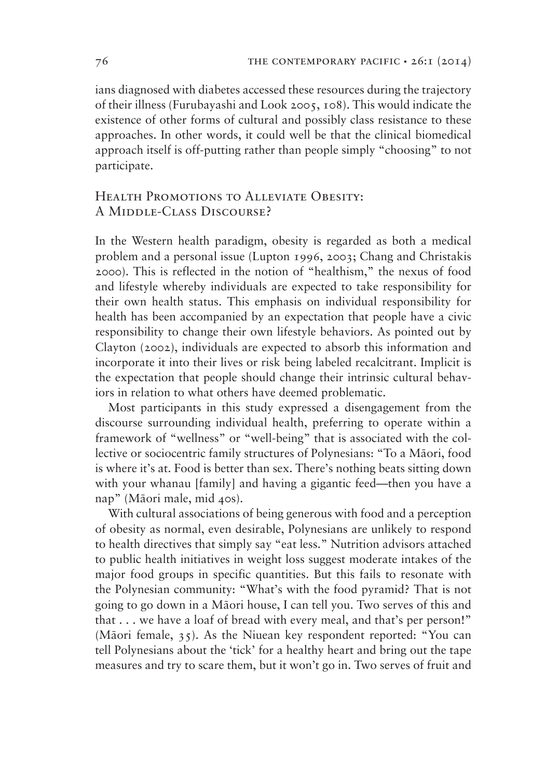ians diagnosed with diabetes accessed these resources during the trajectory of their illness (Furubayashi and Look 2005, 108). This would indicate the existence of other forms of cultural and possibly class resistance to these approaches. In other words, it could well be that the clinical biomedical approach itself is off-putting rather than people simply "choosing" to not participate.

# Health Promotions to Alleviate Obesity: A Middle-Class Discourse?

In the Western health paradigm, obesity is regarded as both a medical problem and a personal issue (Lupton 1996, 2003; Chang and Christakis 2000). This is reflected in the notion of "healthism," the nexus of food and lifestyle whereby individuals are expected to take responsibility for their own health status. This emphasis on individual responsibility for health has been accompanied by an expectation that people have a civic responsibility to change their own lifestyle behaviors. As pointed out by Clayton (2002), individuals are expected to absorb this information and incorporate it into their lives or risk being labeled recalcitrant. Implicit is the expectation that people should change their intrinsic cultural behaviors in relation to what others have deemed problematic.

Most participants in this study expressed a disengagement from the discourse surrounding individual health, preferring to operate within a framework of "wellness" or "well-being" that is associated with the collective or sociocentric family structures of Polynesians: "To a Māori, food is where it's at. Food is better than sex. There's nothing beats sitting down with your whanau [family] and having a gigantic feed—then you have a nap" (Māori male, mid 40s).

With cultural associations of being generous with food and a perception of obesity as normal, even desirable, Polynesians are unlikely to respond to health directives that simply say "eat less." Nutrition advisors attached to public health initiatives in weight loss suggest moderate intakes of the major food groups in specific quantities. But this fails to resonate with the Polynesian community: "What's with the food pyramid? That is not going to go down in a Māori house, I can tell you. Two serves of this and that . . . we have a loaf of bread with every meal, and that's per person!" (Māori female,  $35$ ). As the Niuean key respondent reported: "You can tell Polynesians about the 'tick' for a healthy heart and bring out the tape measures and try to scare them, but it won't go in. Two serves of fruit and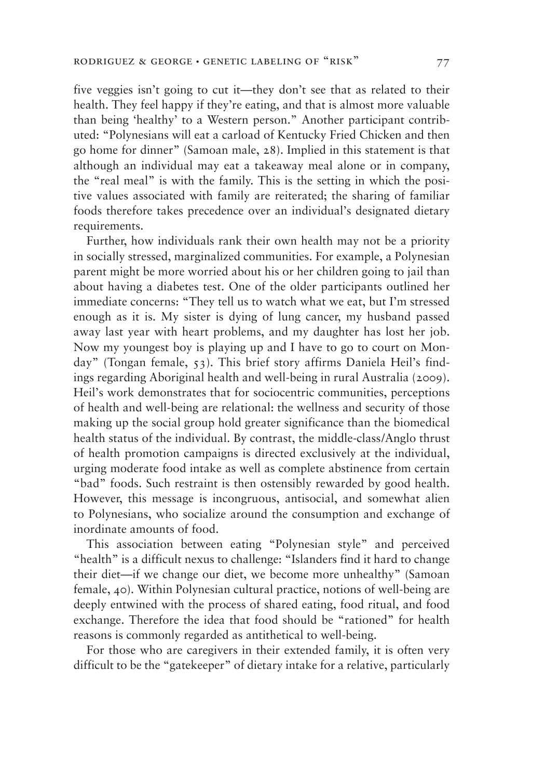five veggies isn't going to cut it—they don't see that as related to their health. They feel happy if they're eating, and that is almost more valuable than being 'healthy' to a Western person." Another participant contributed: "Polynesians will eat a carload of Kentucky Fried Chicken and then go home for dinner" (Samoan male, 28). Implied in this statement is that although an individual may eat a takeaway meal alone or in company, the "real meal" is with the family. This is the setting in which the positive values associated with family are reiterated; the sharing of familiar foods therefore takes precedence over an individual's designated dietary requirements.

Further, how individuals rank their own health may not be a priority in socially stressed, marginalized communities. For example, a Polynesian parent might be more worried about his or her children going to jail than about having a diabetes test. One of the older participants outlined her immediate concerns: "They tell us to watch what we eat, but I'm stressed enough as it is. My sister is dying of lung cancer, my husband passed away last year with heart problems, and my daughter has lost her job. Now my youngest boy is playing up and I have to go to court on Monday" (Tongan female, 53). This brief story affirms Daniela Heil's findings regarding Aboriginal health and well-being in rural Australia (2009). Heil's work demonstrates that for sociocentric communities, perceptions of health and well-being are relational: the wellness and security of those making up the social group hold greater significance than the biomedical health status of the individual. By contrast, the middle-class/Anglo thrust of health promotion campaigns is directed exclusively at the individual, urging moderate food intake as well as complete abstinence from certain "bad" foods. Such restraint is then ostensibly rewarded by good health. However, this message is incongruous, antisocial, and somewhat alien to Polynesians, who socialize around the consumption and exchange of inordinate amounts of food.

This association between eating "Polynesian style" and perceived "health" is a difficult nexus to challenge: "Islanders find it hard to change their diet—if we change our diet, we become more unhealthy" (Samoan female, 40). Within Polynesian cultural practice, notions of well-being are deeply entwined with the process of shared eating, food ritual, and food exchange. Therefore the idea that food should be "rationed" for health reasons is commonly regarded as antithetical to well-being.

For those who are caregivers in their extended family, it is often very difficult to be the "gatekeeper" of dietary intake for a relative, particularly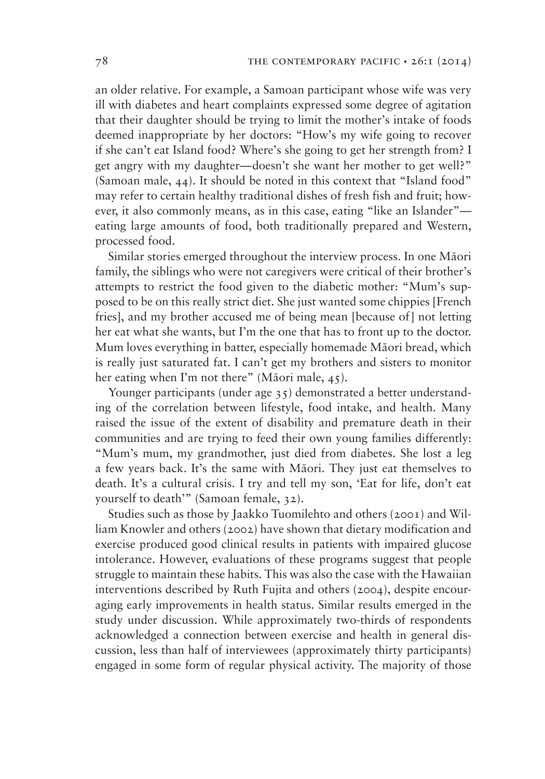an older relative. For example, a Samoan participant whose wife was very ill with diabetes and heart complaints expressed some degree of agitation that their daughter should be trying to limit the mother's intake of foods deemed inappropriate by her doctors: "How's my wife going to recover if she can't eat Island food? Where's she going to get her strength from? I get angry with my daughter—doesn't she want her mother to get well?" (Samoan male, 44). It should be noted in this context that "Island food" may refer to certain healthy traditional dishes of fresh fish and fruit; however, it also commonly means, as in this case, eating "like an Islander" eating large amounts of food, both traditionally prepared and Western, processed food.

Similar stories emerged throughout the interview process. In one Māori family, the siblings who were not caregivers were critical of their brother's attempts to restrict the food given to the diabetic mother: "Mum's supposed to be on this really strict diet. She just wanted some chippies [French fries], and my brother accused me of being mean [because of] not letting her eat what she wants, but I'm the one that has to front up to the doctor. Mum loves everything in batter, especially homemade Māori bread, which is really just saturated fat. I can't get my brothers and sisters to monitor her eating when I'm not there" (Māori male, 45).

Younger participants (under age 35) demonstrated a better understanding of the correlation between lifestyle, food intake, and health. Many raised the issue of the extent of disability and premature death in their communities and are trying to feed their own young families differently: "Mum's mum, my grandmother, just died from diabetes. She lost a leg a few years back. It's the same with Māori. They just eat themselves to death. It's a cultural crisis. I try and tell my son, 'Eat for life, don't eat yourself to death'" (Samoan female, 32).

Studies such as those by Jaakko Tuomilehto and others (2001) and William Knowler and others (2002) have shown that dietary modification and exercise produced good clinical results in patients with impaired glucose intolerance. However, evaluations of these programs suggest that people struggle to maintain these habits. This was also the case with the Hawaiian interventions described by Ruth Fujita and others (2004), despite encouraging early improvements in health status. Similar results emerged in the study under discussion. While approximately two-thirds of respondents acknowledged a connection between exercise and health in general discussion, less than half of interviewees (approximately thirty participants) engaged in some form of regular physical activity. The majority of those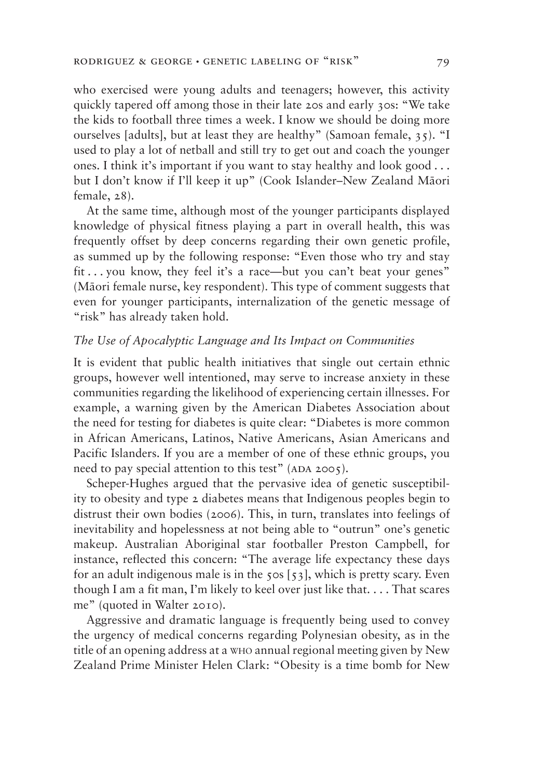who exercised were young adults and teenagers; however, this activity quickly tapered off among those in their late 20s and early 30s: "We take the kids to football three times a week. I know we should be doing more ourselves [adults], but at least they are healthy" (Samoan female, 35). "I used to play a lot of netball and still try to get out and coach the younger ones. I think it's important if you want to stay healthy and look good... but I don't know if I'll keep it up" (Cook Islander–New Zealand Māori female, 28).

At the same time, although most of the younger participants displayed knowledge of physical fitness playing a part in overall health, this was frequently offset by deep concerns regarding their own genetic profile, as summed up by the following response: "Even those who try and stay fit . . . you know, they feel it's a race—but you can't beat your genes" (Māori female nurse, key respondent). This type of comment suggests that even for younger participants, internalization of the genetic message of "risk" has already taken hold.

### The Use of Apocalyptic Language and Its Impact on Communities

It is evident that public health initiatives that single out certain ethnic groups, however well intentioned, may serve to increase anxiety in these communities regarding the likelihood of experiencing certain illnesses. For example, a warning given by the American Diabetes Association about the need for testing for diabetes is quite clear: "Diabetes is more common in African Americans, Latinos, Native Americans, Asian Americans and Pacific Islanders. If you are a member of one of these ethnic groups, you need to pay special attention to this test" (ADA 2005).

Scheper-Hughes argued that the pervasive idea of genetic susceptibility to obesity and type 2 diabetes means that Indigenous peoples begin to distrust their own bodies (2006). This, in turn, translates into feelings of inevitability and hopelessness at not being able to "outrun" one's genetic makeup. Australian Aboriginal star footballer Preston Campbell, for instance, reflected this concern: "The average life expectancy these days for an adult indigenous male is in the  $50s$  [ $53$ ], which is pretty scary. Even though I am a fit man, I'm likely to keel over just like that. . . . That scares me" (quoted in Walter 2010).

Aggressive and dramatic language is frequently being used to convey the urgency of medical concerns regarding Polynesian obesity, as in the title of an opening address at a WHO annual regional meeting given by New Zealand Prime Minister Helen Clark: "Obesity is a time bomb for New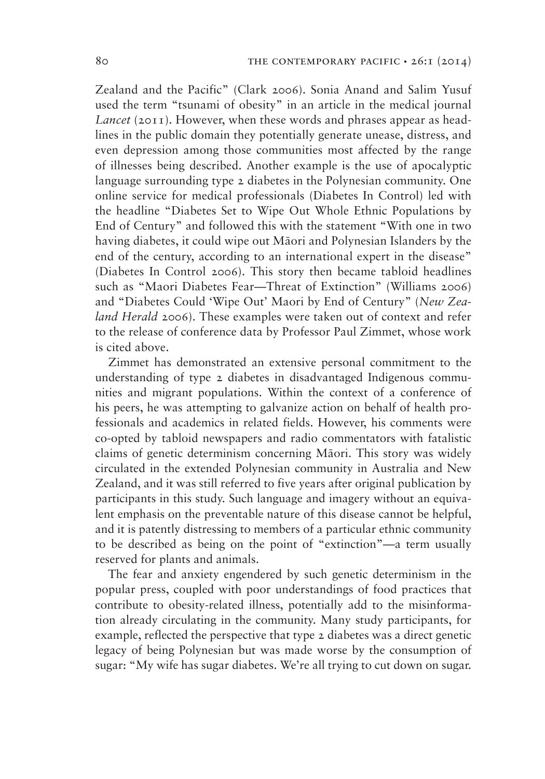Zealand and the Pacific" (Clark 2006). Sonia Anand and Salim Yusuf used the term "tsunami of obesity" in an article in the medical journal *Lancet* (2011). However, when these words and phrases appear as headlines in the public domain they potentially generate unease, distress, and even depression among those communities most affected by the range of illnesses being described. Another example is the use of apocalyptic language surrounding type 2 diabetes in the Polynesian community. One online service for medical professionals (Diabetes In Control) led with the headline "Diabetes Set to Wipe Out Whole Ethnic Populations by End of Century" and followed this with the statement "With one in two having diabetes, it could wipe out Māori and Polynesian Islanders by the end of the century, according to an international expert in the disease" (Diabetes In Control 2006). This story then became tabloid headlines such as "Maori Diabetes Fear—Threat of Extinction" (Williams 2006) and "Diabetes Could 'Wipe Out' Maori by End of Century" (*New Zealand Herald* 2006). These examples were taken out of context and refer to the release of conference data by Professor Paul Zimmet, whose work is cited above.

Zimmet has demonstrated an extensive personal commitment to the understanding of type 2 diabetes in disadvantaged Indigenous communities and migrant populations. Within the context of a conference of his peers, he was attempting to galvanize action on behalf of health professionals and academics in related fields. However, his comments were co-opted by tabloid newspapers and radio commentators with fatalistic claims of genetic determinism concerning Māori. This story was widely circulated in the extended Polynesian community in Australia and New Zealand, and it was still referred to five years after original publication by participants in this study. Such language and imagery without an equivalent emphasis on the preventable nature of this disease cannot be helpful, and it is patently distressing to members of a particular ethnic community to be described as being on the point of "extinction"—a term usually reserved for plants and animals.

The fear and anxiety engendered by such genetic determinism in the popular press, coupled with poor understandings of food practices that contribute to obesity-related illness, potentially add to the misinformation already circulating in the community. Many study participants, for example, reflected the perspective that type 2 diabetes was a direct genetic legacy of being Polynesian but was made worse by the consumption of sugar: "My wife has sugar diabetes. We're all trying to cut down on sugar.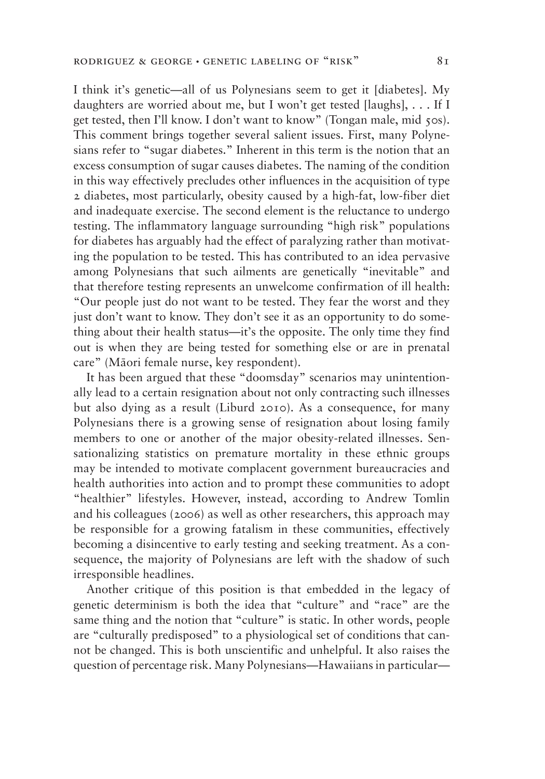I think it's genetic—all of us Polynesians seem to get it [diabetes]. My daughters are worried about me, but I won't get tested [laughs], . . . If I get tested, then I'll know. I don't want to know" (Tongan male, mid 50s). This comment brings together several salient issues. First, many Polynesians refer to "sugar diabetes." Inherent in this term is the notion that an excess consumption of sugar causes diabetes. The naming of the condition in this way effectively precludes other influences in the acquisition of type 2 diabetes, most particularly, obesity caused by a high-fat, low-fiber diet and inadequate exercise. The second element is the reluctance to undergo testing. The inflammatory language surrounding "high risk" populations for diabetes has arguably had the effect of paralyzing rather than motivating the population to be tested. This has contributed to an idea pervasive among Polynesians that such ailments are genetically "inevitable" and that therefore testing represents an unwelcome confirmation of ill health: "Our people just do not want to be tested. They fear the worst and they just don't want to know. They don't see it as an opportunity to do something about their health status—it's the opposite. The only time they find out is when they are being tested for something else or are in prenatal care" (Māori female nurse, key respondent).

It has been argued that these "doomsday" scenarios may unintentionally lead to a certain resignation about not only contracting such illnesses but also dying as a result (Liburd 2010). As a consequence, for many Polynesians there is a growing sense of resignation about losing family members to one or another of the major obesity-related illnesses. Sensationalizing statistics on premature mortality in these ethnic groups may be intended to motivate complacent government bureaucracies and health authorities into action and to prompt these communities to adopt "healthier" lifestyles. However, instead, according to Andrew Tomlin and his colleagues (2006) as well as other researchers, this approach may be responsible for a growing fatalism in these communities, effectively becoming a disincentive to early testing and seeking treatment. As a consequence, the majority of Polynesians are left with the shadow of such irresponsible headlines.

Another critique of this position is that embedded in the legacy of genetic determinism is both the idea that "culture" and "race" are the same thing and the notion that "culture" is static. In other words, people are "culturally predisposed" to a physiological set of conditions that cannot be changed. This is both unscientific and unhelpful. It also raises the question of percentage risk. Many Polynesians—Hawaiians in particular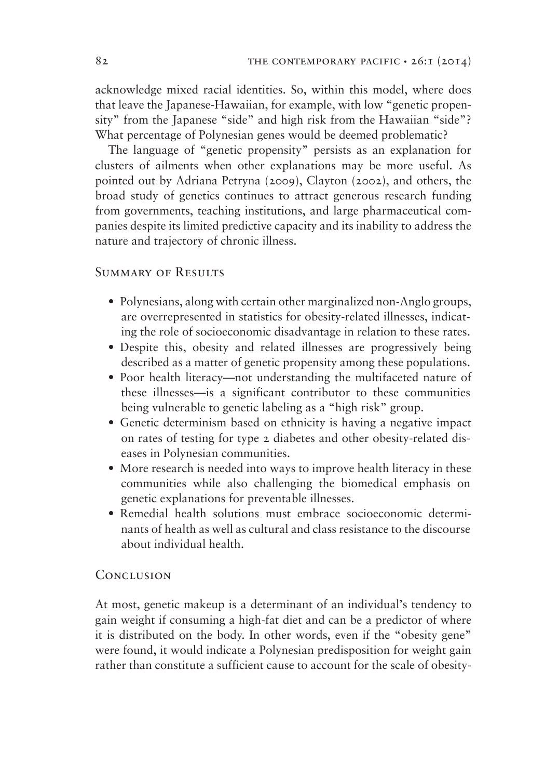acknowledge mixed racial identities. So, within this model, where does that leave the Japanese-Hawaiian, for example, with low "genetic propensity" from the Japanese "side" and high risk from the Hawaiian "side"? What percentage of Polynesian genes would be deemed problematic?

The language of "genetic propensity" persists as an explanation for clusters of ailments when other explanations may be more useful. As pointed out by Adriana Petryna (2009), Clayton (2002), and others, the broad study of genetics continues to attract generous research funding from governments, teaching institutions, and large pharmaceutical companies despite its limited predictive capacity and its inability to address the nature and trajectory of chronic illness.

# Summary of Results

- Polynesians, along with certain other marginalized non-Anglo groups, are overrepresented in statistics for obesity-related illnesses, indicating the role of socioeconomic disadvantage in relation to these rates.
- Despite this, obesity and related illnesses are progressively being described as a matter of genetic propensity among these populations.
- Poor health literacy—not understanding the multifaceted nature of these illnesses—is a significant contributor to these communities being vulnerable to genetic labeling as a "high risk" group.
- Genetic determinism based on ethnicity is having a negative impact on rates of testing for type 2 diabetes and other obesity-related diseases in Polynesian communities.
- More research is needed into ways to improve health literacy in these communities while also challenging the biomedical emphasis on genetic explanations for preventable illnesses.
- Remedial health solutions must embrace socioeconomic determinants of health as well as cultural and class resistance to the discourse about individual health.

# **CONCLUSION**

At most, genetic makeup is a determinant of an individual's tendency to gain weight if consuming a high-fat diet and can be a predictor of where it is distributed on the body. In other words, even if the "obesity gene" were found, it would indicate a Polynesian predisposition for weight gain rather than constitute a sufficient cause to account for the scale of obesity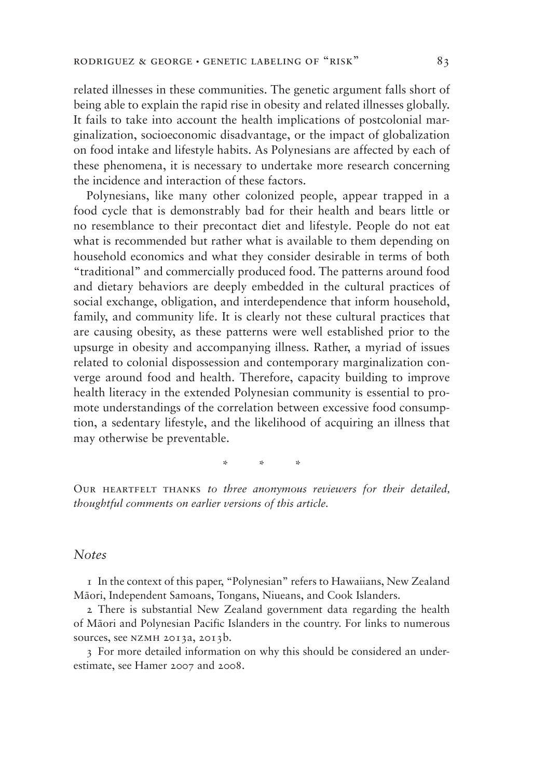related illnesses in these communities. The genetic argument falls short of being able to explain the rapid rise in obesity and related illnesses globally. It fails to take into account the health implications of postcolonial marginalization, socioeconomic disadvantage, or the impact of globalization on food intake and lifestyle habits. As Polynesians are affected by each of these phenomena, it is necessary to undertake more research concerning the incidence and interaction of these factors.

Polynesians, like many other colonized people, appear trapped in a food cycle that is demonstrably bad for their health and bears little or no resemblance to their precontact diet and lifestyle. People do not eat what is recommended but rather what is available to them depending on household economics and what they consider desirable in terms of both "traditional" and commercially produced food. The patterns around food and dietary behaviors are deeply embedded in the cultural practices of social exchange, obligation, and interdependence that inform household, family, and community life. It is clearly not these cultural practices that are causing obesity, as these patterns were well established prior to the upsurge in obesity and accompanying illness. Rather, a myriad of issues related to colonial dispossession and contemporary marginalization converge around food and health. Therefore, capacity building to improve health literacy in the extended Polynesian community is essential to promote understandings of the correlation between excessive food consumption, a sedentary lifestyle, and the likelihood of acquiring an illness that may otherwise be preventable.

\*\*\*

OUR HEARTFELT THANKS *to three anonymous reviewers for their detailed*, *thoughtful comments on earlier versions of this article.* 

### *Notes*

1 In the context of this paper, "Polynesian" refers to Hawaiians, New Zealand Māori, Independent Samoans, Tongans, Niueans, and Cook Islanders.

2 There is substantial New Zealand government data regarding the health of Māori and Polynesian Pacific Islanders in the country. For links to numerous sources, see NZMH 2013a, 2013b.

3 For more detailed information on why this should be considered an underestimate, see Hamer 2007 and 2008.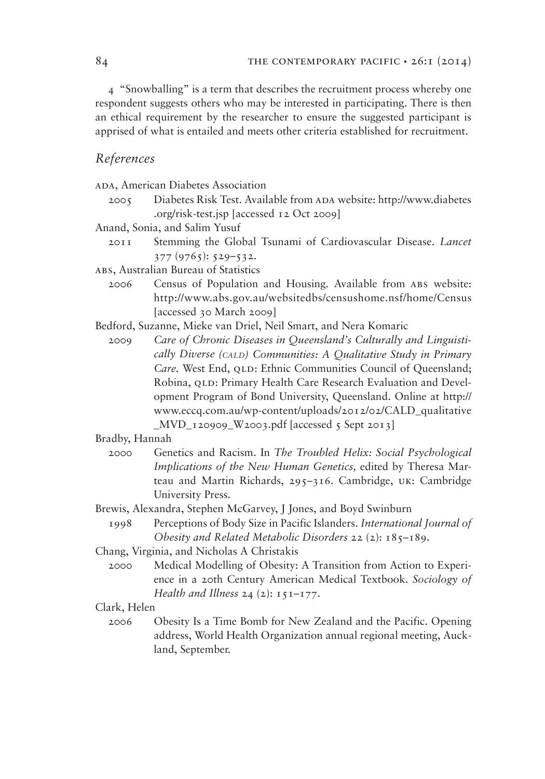4 "Snowballing" is a term that describes the recruitment process whereby one respondent suggests others who may be interested in participating. There is then an ethical requirement by the researcher to ensure the suggested participant is apprised of what is entailed and meets other criteria established for recruitment.

# *References*

ADA, American Diabetes Association

- 2005 Diabetes Risk Test. Available from ADA website: http://www.diabetes .org/risk-test.jsp [accessed 12 Oct 2009]
- Anand, Sonia, and Salim Yusuf
	- 2011 Stemming the Global Tsunami of Cardiovascular Disease. *Lancet*  377 (9765): 529–532.
- abs, Australian Bureau of Statistics
	- 2006 Census of Population and Housing. Available from abs website: http://www.abs.gov.au/websitedbs/censushome.nsf/home/Census [accessed 30 March 2009]

Bedford, Suzanne, Mieke van Driel, Neil Smart, and Nera Komaric

 2009 *Care of Chronic Diseases in Queensland's Culturally and Linguistically Diverse (CALD) Communities: A Qualitative Study in Primary Care.* West End, QLD: Ethnic Communities Council of Queensland; Robina, QLD: Primary Health Care Research Evaluation and Development Program of Bond University, Queensland. Online at http:// www.eccq.com.au/wp-content/uploads/2012/02/CALD\_qualitative  $MVD_120909_W2003.pdf$  [accessed 5 Sept 2013]

#### Bradby, Hannah

- 2000 Genetics and Racism. In *The Troubled Helix: Social Psychological Implications of the New Human Genetics,* edited by Theresa Marteau and Martin Richards, 295–316. Cambridge, uk: Cambridge University Press.
- Brewis, Alexandra, Stephen McGarvey, J Jones, and Boyd Swinburn
	- 1998 Perceptions of Body Size in Pacific Islanders. *International Journal of Obesity and Related Metabolic Disorders* 22 (2): 185–189.
- Chang, Virginia, and Nicholas A Christakis
	- 2000 Medical Modelling of Obesity: A Transition from Action to Experience in a 20th Century American Medical Textbook. *Sociology of Health and Illness* 24 (2): 151–177.

### Clark, Helen

 2006 Obesity Is a Time Bomb for New Zealand and the Pacific. Opening address, World Health Organization annual regional meeting, Auckland, September.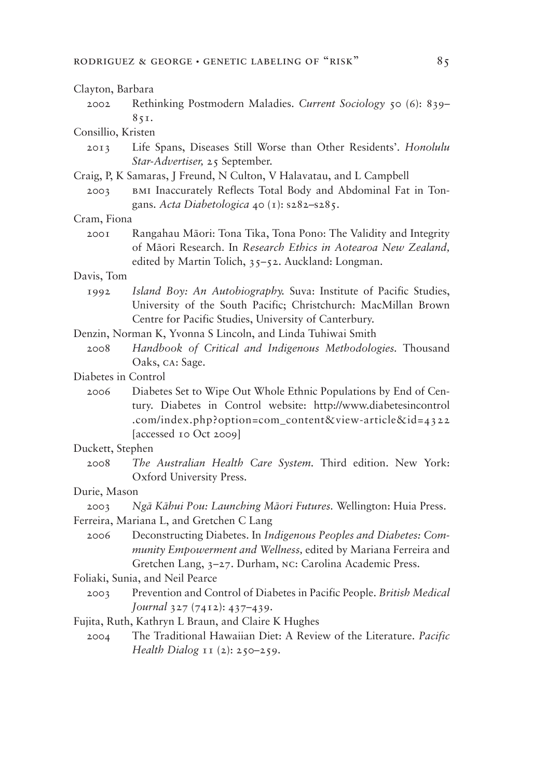#### Clayton, Barbara

 2002 Rethinking Postmodern Maladies. *Current Sociology* 50 (6): 839– 851.

#### Consillio, Kristen

- 2013 Life Spans, Diseases Still Worse than Other Residents'. *Honolulu Star-Advertiser,* 25 September.
- Craig, P, K Samaras, J Freund, N Culton, V Halavatau, and L Campbell
	- 2003 bmi Inaccurately Reflects Total Body and Abdominal Fat in Tongans. *Acta Diabetologica* 40 (1): s282–s285.

#### Cram, Fiona

2001 Rangahau Māori: Tona Tika, Tona Pono: The Validity and Integrity of Māori Research. In Research Ethics in Aotearoa New Zealand, edited by Martin Tolich, 35–52. Auckland: Longman.

### Davis, Tom

- 1992 *Island Boy: An Autobiography.* Suva: Institute of Pacific Studies, University of the South Pacific; Christchurch: MacMillan Brown Centre for Pacific Studies, University of Canterbury.
- Denzin, Norman K, Yvonna S Lincoln, and Linda Tuhiwai Smith
	- 2008 *Handbook of Critical and Indigenous Methodologies.* Thousand Oaks, ca: Sage.
- Diabetes in Control
	- 2006 Diabetes Set to Wipe Out Whole Ethnic Populations by End of Century. Diabetes in Control website: http://www.diabetesincontrol .com/index.php?option=com\_content&view-article&id=4322 [accessed 10 Oct 2009]

#### Duckett, Stephen

 2008 *The Australian Health Care System.* Third edition. New York: Oxford University Press.

#### Durie, Mason

- 2003 Ngā Kāhui Pou: Launching Māori Futures. Wellington: Huia Press.
- Ferreira, Mariana L, and Gretchen C Lang
	- 2006 Deconstructing Diabetes. In *Indigenous Peoples and Diabetes: Community Empowerment and Wellness,* edited by Mariana Ferreira and Gretchen Lang, 3–27. Durham, nc: Carolina Academic Press.

#### Foliaki, Sunia, and Neil Pearce

- 2003 Prevention and Control of Diabetes in Pacific People. *British Medical Journal* 327 (7412): 437–439.
- Fujita, Ruth, Kathryn L Braun, and Claire K Hughes
	- 2004 The Traditional Hawaiian Diet: A Review of the Literature. *Pacific Health Dialog* 11 (2): 250–259.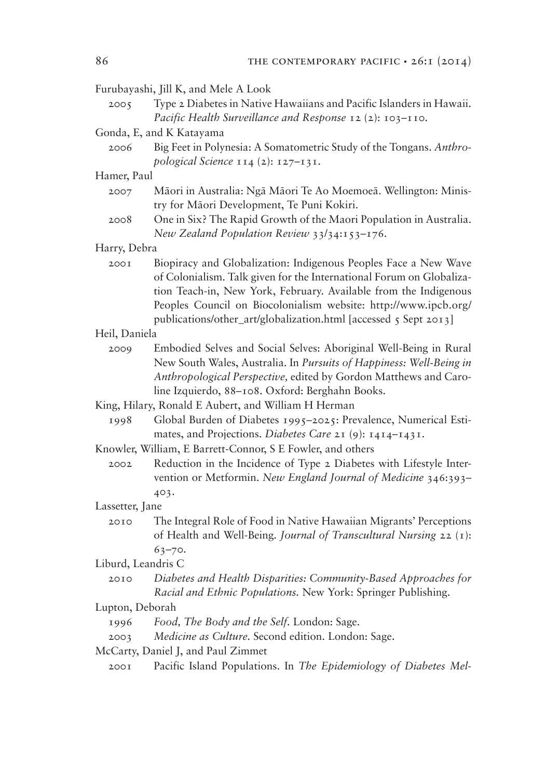### Furubayashi, Jill K, and Mele A Look

 2005 Type 2 Diabetes in Native Hawaiians and Pacific Islanders in Hawaii. *Pacific Health Surveillance and Response* 12 (2): 103–110.

#### Gonda, E, and K Katayama

 2006 Big Feet in Polynesia: A Somatometric Study of the Tongans. *Anthropological Science* 114 (2): 127–131.

#### Hamer, Paul

- 2007 Māori in Australia: Ngā Māori Te Ao Moemoeā. Wellington: Ministry for Māori Development, Te Puni Kokiri.
- 2008 One in Six? The Rapid Growth of the Maori Population in Australia. *New Zealand Population Review* 33/34:153–176.

#### Harry, Debra

 2001 Biopiracy and Globalization: Indigenous Peoples Face a New Wave of Colonialism. Talk given for the International Forum on Globalization Teach-in, New York, February. Available from the Indigenous Peoples Council on Biocolonialism website: http://www.ipcb.org/ publications/other\_art/globalization.html [accessed 5 Sept 2013]

#### Heil, Daniela

 2009 Embodied Selves and Social Selves: Aboriginal Well-Being in Rural New South Wales, Australia. In *Pursuits of Happiness: Well-Being in Anthropological Perspective,* edited by Gordon Matthews and Caroline Izquierdo, 88–108. Oxford: Berghahn Books.

King, Hilary, Ronald E Aubert, and William H Herman

 1998 Global Burden of Diabetes 1995–2025: Prevalence, Numerical Estimates, and Projections. *Diabetes Care* 21 (9): 1414–1431.

Knowler, William, E Barrett-Connor, S E Fowler, and others

 2002 Reduction in the Incidence of Type 2 Diabetes with Lifestyle Intervention or Metformin. *New England Journal of Medicine* 346:393– 403.

#### Lassetter, Jane

 2010 The Integral Role of Food in Native Hawaiian Migrants' Perceptions of Health and Well-Being. *Journal of Transcultural Nursing* 22 (1): 63–70.

#### Liburd, Leandris C

 2010 *Diabetes and Health Disparities: Community-Based Approaches for Racial and Ethnic Populations.* New York: Springer Publishing.

### Lupton, Deborah

- 1996 *Food, The Body and the Self.* London: Sage.
- 2003 *Medicine as Culture.* Second edition. London: Sage.
- McCarty, Daniel J, and Paul Zimmet
	- 2001 Pacific Island Populations. In *The Epidemiology of Diabetes Mel-*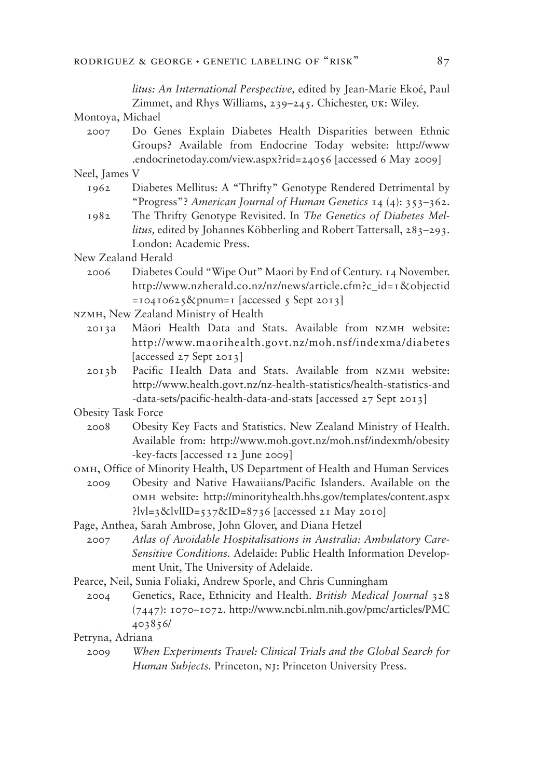*litus: An International Perspective,* edited by Jean-Marie Ekoé, Paul Zimmet, and Rhys Williams, 239–245. Chichester, uk: Wiley.

Montoya, Michael

 2007 Do Genes Explain Diabetes Health Disparities between Ethnic Groups? Available from Endocrine Today website: http://www .endocrinetoday.com/view.aspx?rid=24056 [accessed 6 May 2009]

Neel, James V

- 1962 Diabetes Mellitus: A "Thrifty" Genotype Rendered Detrimental by "Progress"? *American Journal of Human Genetics* 14 (4): 353–362.
- 1982 The Thrifty Genotype Revisited. In *The Genetics of Diabetes Mellitus,* edited by Johannes Köbberling and Robert Tattersall, 283–293. London: Academic Press.
- New Zealand Herald
	- 2006 Diabetes Could "Wipe Out" Maori by End of Century. 14 November. http://www.nzherald.co.nz/nz/news/article.cfm?c\_id=1&objectid  $=10410625$ &pnum=1 [accessed 5 Sept 2013]

NZMH, New Zealand Ministry of Health

- 2013a Māori Health Data and Stats. Available from NZMH website: http://www.maorihealth.govt.nz/moh.nsf/indexma/diabetes [accessed 27 Sept 2013]
- 2013b Pacific Health Data and Stats. Available from nzmh website: http://www.health.govt.nz/nz-health-statistics/health-statistics-and -data-sets/pacific-health-data-and-stats [accessed 27 Sept 2013]

Obesity Task Force

 2008 Obesity Key Facts and Statistics. New Zealand Ministry of Health. Available from: http://www.moh.govt.nz/moh.nsf/indexmh/obesity -key-facts [accessed 12 June 2009]

omh, Office of Minority Health, US Department of Health and Human Services

 2009 Obesity and Native Hawaiians/Pacific Islanders. Available on the omh website: http://minorityhealth.hhs.gov/templates/content.aspx  $:$ lvl=3&lvlID=537&ID=8736 [accessed 21 May 2010]

 2007 *Atlas of Avoidable Hospitalisations in Australia: Ambulatory Care-Sensitive Conditions.* Adelaide: Public Health Information Development Unit, The University of Adelaide.

Pearce, Neil, Sunia Foliaki, Andrew Sporle, and Chris Cunningham

 2004 Genetics, Race, Ethnicity and Health. *British Medical Journal* 328 (7447): 1070–1072. http://www.ncbi.nlm.nih.gov/pmc/articles/PMC 403856/

Petryna, Adriana

 2009 *When Experiments Travel: Clinical Trials and the Global Search for Human Subjects.* Princeton, nj: Princeton University Press.

Page, Anthea, Sarah Ambrose, John Glover, and Diana Hetzel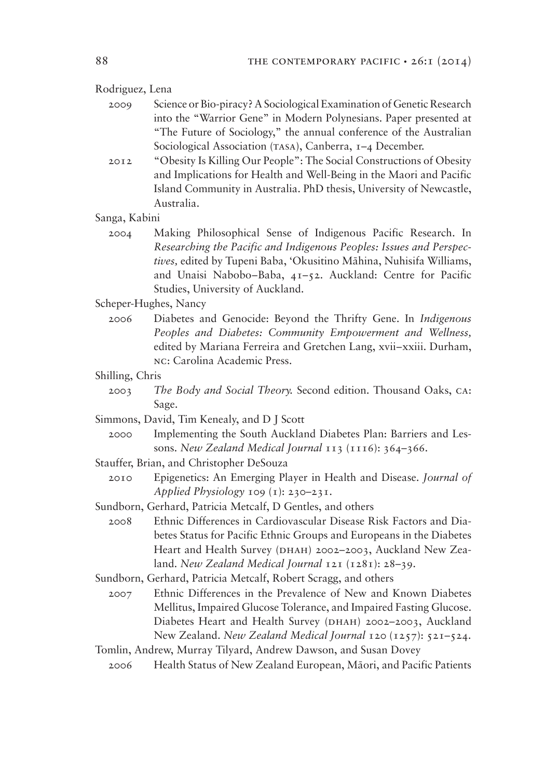Rodriguez, Lena

- 2009 Science or Bio-piracy? A Sociological Examination of Genetic Research into the "Warrior Gene" in Modern Polynesians. Paper presented at "The Future of Sociology," the annual conference of the Australian Sociological Association (TASA), Canberra, 1-4 December.
- 2012 "Obesity Is Killing Our People": The Social Constructions of Obesity and Implications for Health and Well-Being in the Maori and Pacific Island Community in Australia. PhD thesis, University of Newcastle, Australia.
- Sanga, Kabini
	- 2004 Making Philosophical Sense of Indigenous Pacific Research. In *Researching the Pacific and Indigenous Peoples: Issues and Perspectives*, edited by Tupeni Baba, 'Okusitino Māhina, Nuhisifa Williams, and Unaisi Nabobo–Baba, 41–52. Auckland: Centre for Pacific Studies, University of Auckland.
- Scheper-Hughes, Nancy
	- 2006 Diabetes and Genocide: Beyond the Thrifty Gene. In *Indigenous Peoples and Diabetes: Community Empowerment and Wellness,* edited by Mariana Ferreira and Gretchen Lang, xvii–xxiii. Durham, nc: Carolina Academic Press.
- Shilling, Chris
	- 2003 *The Body and Social Theory.* Second edition. Thousand Oaks, ca: Sage.
- Simmons, David, Tim Kenealy, and D J Scott
	- 2000 Implementing the South Auckland Diabetes Plan: Barriers and Lessons. *New Zealand Medical Journal* 113 (1116): 364–366.
- Stauffer, Brian, and Christopher DeSouza
	- 2010 Epigenetics: An Emerging Player in Health and Disease. *Journal of Applied Physiology* 109 (1): 230–231.
- Sundborn, Gerhard, Patricia Metcalf, D Gentles, and others
	- 2008 Ethnic Differences in Cardiovascular Disease Risk Factors and Diabetes Status for Pacific Ethnic Groups and Europeans in the Diabetes Heart and Health Survey (DHAH) 2002–2003, Auckland New Zealand. *New Zealand Medical Journal* 121 (1281): 28–39.
- Sundborn, Gerhard, Patricia Metcalf, Robert Scragg, and others
	- 2007 Ethnic Differences in the Prevalence of New and Known Diabetes Mellitus, Impaired Glucose Tolerance, and Impaired Fasting Glucose. Diabetes Heart and Health Survey (DHAH) 2002–2003, Auckland New Zealand. *New Zealand Medical Journal* 120 (1257): 521–524.
- Tomlin, Andrew, Murray Tilyard, Andrew Dawson, and Susan Dovey
	- 2006 Health Status of New Zealand European, Māori, and Pacific Patients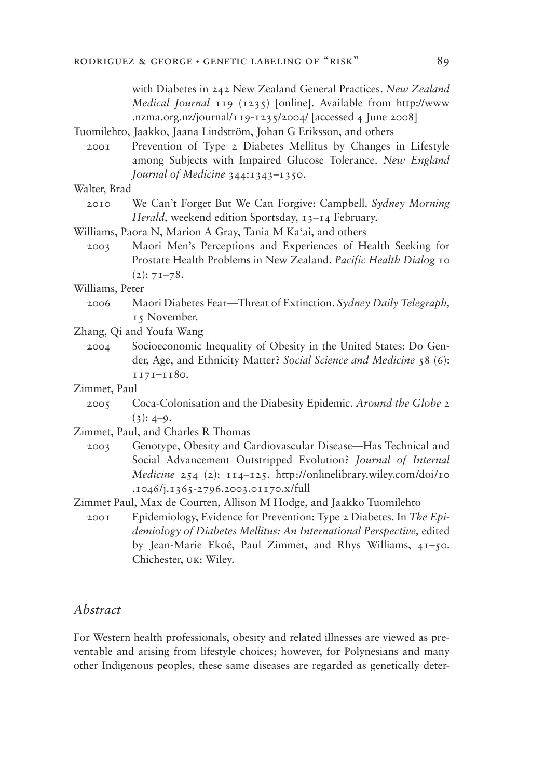with Diabetes in 242 New Zealand General Practices. *New Zealand Medical Journal* 119 (1235) [online]. Available from http://www .nzma.org.nz/journal/119-1235/2004/ [accessed 4 June 2008] Tuomilehto, Jaakko, Jaana Lindström, Johan G Eriksson, and others

 2001 Prevention of Type 2 Diabetes Mellitus by Changes in Lifestyle among Subjects with Impaired Glucose Tolerance. *New England Journal of Medicine* 344:1343–1350.

#### Walter, Brad

- 2010 We Can't Forget But We Can Forgive: Campbell. *Sydney Morning Herald,* weekend edition Sportsday, 13–14 February.
- Williams, Paora N, Marion A Gray, Tania M Ka'ai, and others
	- 2003 Maori Men's Perceptions and Experiences of Health Seeking for Prostate Health Problems in New Zealand. *Pacific Health Dialog* 10  $(2): 7I-78.$

Williams, Peter

- 2006 Maori Diabetes Fear—Threat of Extinction. *Sydney Daily Telegraph,* 15 November.
- Zhang, Qi and Youfa Wang
	- 2004 Socioeconomic Inequality of Obesity in the United States: Do Gender, Age, and Ethnicity Matter? *Social Science and Medicine* 58 (6): 1171–1180.
- Zimmet, Paul
	- 2005 Coca-Colonisation and the Diabesity Epidemic. *Around the Globe* 2  $(3): 4-9.$
- Zimmet, Paul, and Charles R Thomas
- 2003 Genotype, Obesity and Cardiovascular Disease—Has Technical and Social Advancement Outstripped Evolution? *Journal of Internal Medicine* 254 (2): 114–125. http://onlinelibrary.wiley.com/doi/10 .1046/j.1365-2796.2003.01170.x/full
- Zimmet Paul, Max de Courten, Allison M Hodge, and Jaakko Tuomilehto
	- 2001 Epidemiology, Evidence for Prevention: Type 2 Diabetes. In *The Epidemiology of Diabetes Mellitus: An International Perspective,* edited by Jean-Marie Ekoé, Paul Zimmet, and Rhys Williams, 41–50. Chichester, uk: Wiley.

# *Abstract*

For Western health professionals, obesity and related illnesses are viewed as preventable and arising from lifestyle choices; however, for Polynesians and many other Indigenous peoples, these same diseases are regarded as genetically deter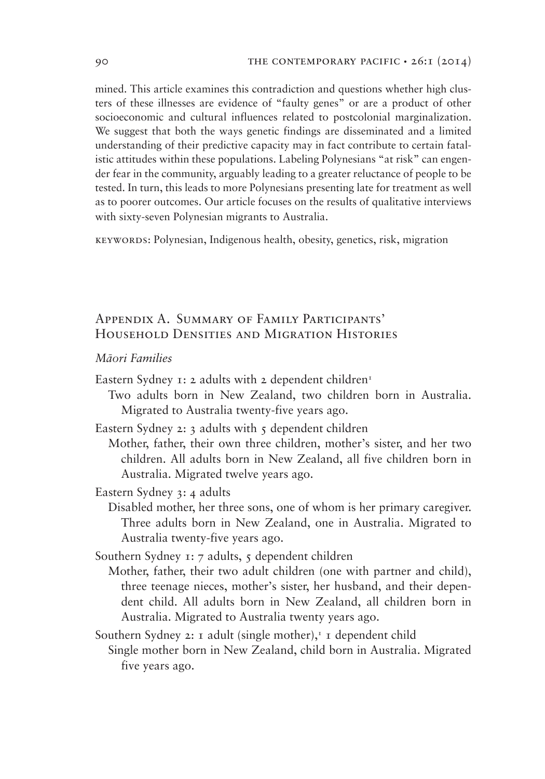mined. This article examines this contradiction and questions whether high clusters of these illnesses are evidence of "faulty genes" or are a product of other socioeconomic and cultural influences related to postcolonial marginalization. We suggest that both the ways genetic findings are disseminated and a limited understanding of their predictive capacity may in fact contribute to certain fatalistic attitudes within these populations. Labeling Polynesians "at risk" can engender fear in the community, arguably leading to a greater reluctance of people to be tested. In turn, this leads to more Polynesians presenting late for treatment as well as to poorer outcomes. Our article focuses on the results of qualitative interviews with sixty-seven Polynesian migrants to Australia.

keywords: Polynesian, Indigenous health, obesity, genetics, risk, migration

# Appendix A. Summary of Family Participants' Household Densities and Migration Histories

### *Māori Families*

- Eastern Sydney 1: 2 adults with 2 dependent children<sup>1</sup>
- Two adults born in New Zealand, two children born in Australia. Migrated to Australia twenty-five years ago.
- Eastern Sydney 2: 3 adults with  $\zeta$  dependent children
- Mother, father, their own three children, mother's sister, and her two children. All adults born in New Zealand, all five children born in Australia. Migrated twelve years ago.
- Eastern Sydney 3: 4 adults
	- Disabled mother, her three sons, one of whom is her primary caregiver. Three adults born in New Zealand, one in Australia. Migrated to Australia twenty-five years ago.
- Southern Sydney 1:  $7$  adults,  $5$  dependent children
	- Mother, father, their two adult children (one with partner and child), three teenage nieces, mother's sister, her husband, and their dependent child. All adults born in New Zealand, all children born in Australia. Migrated to Australia twenty years ago.

Southern Sydney 2: 1 adult (single mother), $\frac{1}{1}$  dependent child Single mother born in New Zealand, child born in Australia. Migrated five years ago.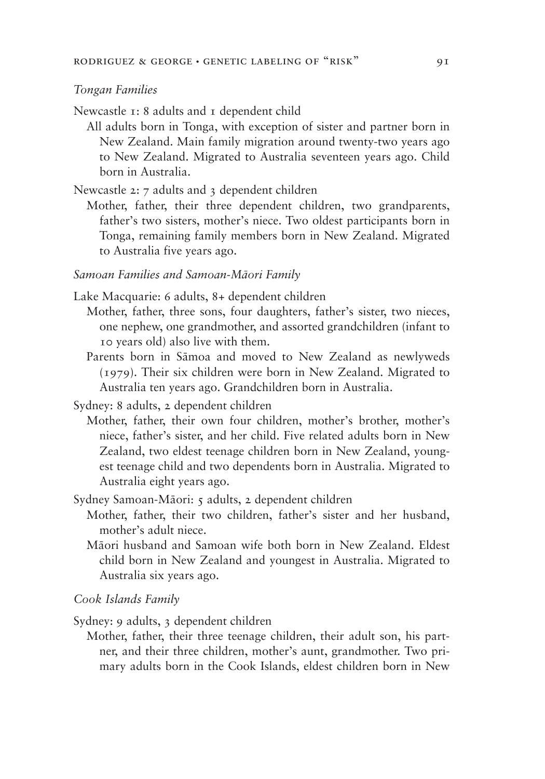#### *Tongan Families*

Newcastle  $r: 8$  adults and  $r$  dependent child

All adults born in Tonga, with exception of sister and partner born in New Zealand. Main family migration around twenty-two years ago to New Zealand. Migrated to Australia seventeen years ago. Child born in Australia.

Newcastle 2: 7 adults and 3 dependent children

Mother, father, their three dependent children, two grandparents, father's two sisters, mother's niece. Two oldest participants born in Tonga, remaining family members born in New Zealand. Migrated to Australia five years ago.

### *Samoan Families and Samoan-Māori Family*

- Lake Macquarie: 6 adults, 8+ dependent children
	- Mother, father, three sons, four daughters, father's sister, two nieces, one nephew, one grandmother, and assorted grandchildren (infant to 10 years old) also live with them.
	- Parents born in Sāmoa and moved to New Zealand as newlyweds (1979). Their six children were born in New Zealand. Migrated to Australia ten years ago. Grandchildren born in Australia.
- Sydney: 8 adults, 2 dependent children
	- Mother, father, their own four children, mother's brother, mother's niece, father's sister, and her child. Five related adults born in New Zealand, two eldest teenage children born in New Zealand, youngest teenage child and two dependents born in Australia. Migrated to Australia eight years ago.

Sydney Samoan-Māori: 5 adults, 2 dependent children

- Mother, father, their two children, father's sister and her husband, mother's adult niece.
- Māori husband and Samoan wife both born in New Zealand. Eldest child born in New Zealand and youngest in Australia. Migrated to Australia six years ago.

### Cook Islands Family

Sydney: 9 adults, 3 dependent children

Mother, father, their three teenage children, their adult son, his partner, and their three children, mother's aunt, grandmother. Two primary adults born in the Cook Islands, eldest children born in New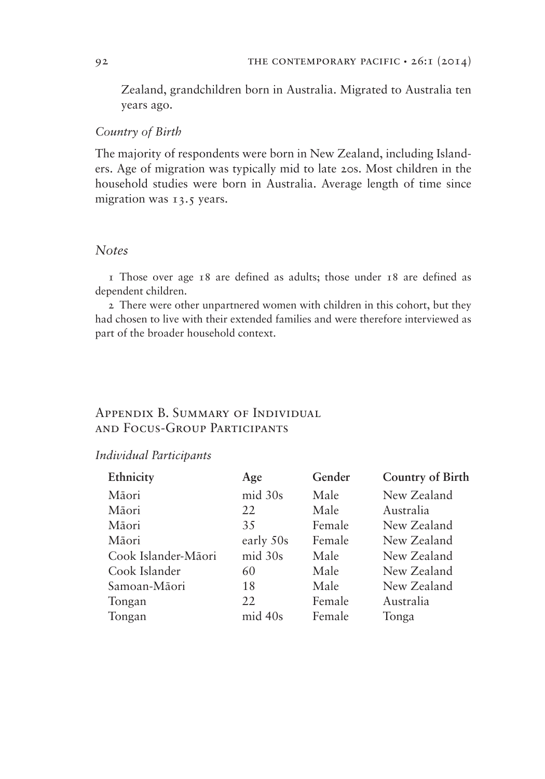Zealand, grandchildren born in Australia. Migrated to Australia ten years ago.

### Country of Birth

The majority of respondents were born in New Zealand, including Islanders. Age of migration was typically mid to late 20s. Most children in the household studies were born in Australia. Average length of time since migration was 13.5 years.

### *Notes*

1 Those over age 18 are defined as adults; those under 18 are defined as dependent children.

2 There were other unpartnered women with children in this cohort, but they had chosen to live with their extended families and were therefore interviewed as part of the broader household context.

# Appendix B. Summary of Individual and Focus-Group Participants

#### *<u>Individual</u>* Participants

| Ethnicity           | Age       | Gender | <b>Country of Birth</b> |
|---------------------|-----------|--------|-------------------------|
| Māori               | mid 30s   | Male   | New Zealand             |
| Māori               | 22        | Male   | Australia               |
| Māori               | 35        | Female | New Zealand             |
| Māori               | early 50s | Female | New Zealand             |
| Cook Islander-Māori | mid 30s   | Male   | New Zealand             |
| Cook Islander       | 60        | Male   | New Zealand             |
| Samoan-Māori        | 18        | Male   | New Zealand             |
| Tongan              | 22        | Female | Australia               |
| Tongan              | mid 40s   | Female | Tonga                   |